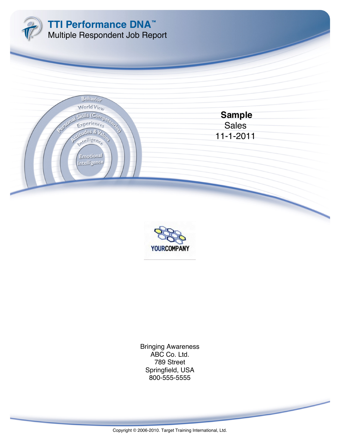



800-555-5555 Springfield, USA 789 Street ABC Co. Ltd. Bringing Awareness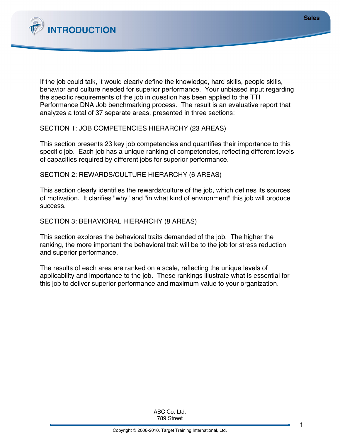

If the job could talk, it would clearly define the knowledge, hard skills, people skills, behavior and culture needed for superior performance. Your unbiased input regarding the specific requirements of the job in question has been applied to the TTI Performance DNA Job benchmarking process. The result is an evaluative report that analyzes a total of 37 separate areas, presented in three sections:

SECTION 1: JOB COMPETENCIES HIERARCHY (23 AREAS)

This section presents 23 key job competencies and quantifies their importance to this specific job. Each job has a unique ranking of competencies, reflecting different levels of capacities required by different jobs for superior performance.

SECTION 2: REWARDS/CULTURE HIERARCHY (6 AREAS)

This section clearly identifies the rewards/culture of the job, which defines its sources of motivation. It clarifies "why" and "in what kind of environment" this job will produce success.

SECTION 3: BEHAVIORAL HIERARCHY (8 AREAS)

This section explores the behavioral traits demanded of the job. The higher the ranking, the more important the behavioral trait will be to the job for stress reduction and superior performance.

The results of each area are ranked on a scale, reflecting the unique levels of applicability and importance to the job. These rankings illustrate what is essential for this job to deliver superior performance and maximum value to your organization.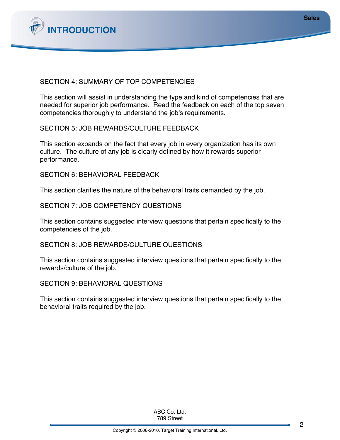

## SECTION 4: SUMMARY OF TOP COMPETENCIES

This section will assist in understanding the type and kind of competencies that are needed for superior job performance. Read the feedback on each of the top seven competencies thoroughly to understand the job's requirements.

SECTION 5: JOB REWARDS/CULTURE FEEDBACK

This section expands on the fact that every job in every organization has its own culture. The culture of any job is clearly defined by how it rewards superior performance.

SECTION 6: BEHAVIORAL FEEDBACK

This section clarifies the nature of the behavioral traits demanded by the job.

SECTION 7: JOB COMPETENCY QUESTIONS

This section contains suggested interview questions that pertain specifically to the competencies of the job.

SECTION 8: JOB REWARDS/CULTURE QUESTIONS

This section contains suggested interview questions that pertain specifically to the rewards/culture of the job.

SECTION 9: BEHAVIORAL QUESTIONS

This section contains suggested interview questions that pertain specifically to the behavioral traits required by the job.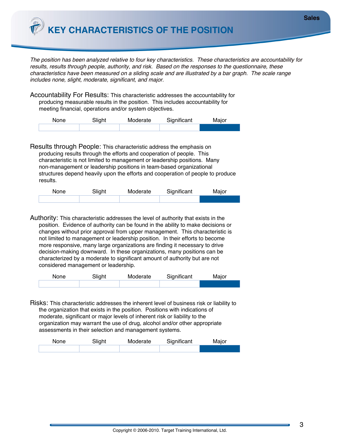**KEY CHARACTERISTICS OF THE POSITION** 

*The position has been analyzed relative to four key characteristics. These characteristics are accountability for results, results through people, authority, and risk. Based on the responses to the questionnaire, these characteristics have been measured on a sliding scale and are illustrated by a bar graph. The scale range includes none, slight, moderate, significant, and major.*

Accountability For Results: This characteristic addresses the accountability for producing measurable results in the position. This includes accountability for meeting financial, operations and/or system objectives.

| None | Slight | Moderate | Significant | Major |
|------|--------|----------|-------------|-------|
|      |        |          |             |       |

Results through People: This characteristic address the emphasis on producing results through the efforts and cooperation of people. This characteristic is not limited to management or leadership positions. Many non-management or leadership positions in team-based organizational structures depend heavily upon the efforts and cooperation of people to produce results.

| None | Slight | Moderate | Significant | Major |
|------|--------|----------|-------------|-------|
|      |        |          |             |       |

Authority: This characteristic addresses the level of authority that exists in the position. Evidence of authority can be found in the ability to make decisions or changes without prior approval from upper management. This characteristic is not limited to management or leadership position. In their efforts to become more responsive, many large organizations are finding it necessary to drive decision-making downward. In these organizations, many positions can be characterized by a moderate to significant amount of authority but are not considered management or leadership.

| None | Slight | Moderate | Significant | Major |
|------|--------|----------|-------------|-------|
|      |        |          |             |       |

Risks: This characteristic addresses the inherent level of business risk or liability to the organization that exists in the position. Positions with indications of moderate, significant or major levels of inherent risk or liability to the organization may warrant the use of drug, alcohol and/or other appropriate assessments in their selection and management systems.

| None | Slight | Moderate | Significant | Major |
|------|--------|----------|-------------|-------|
|      |        |          |             |       |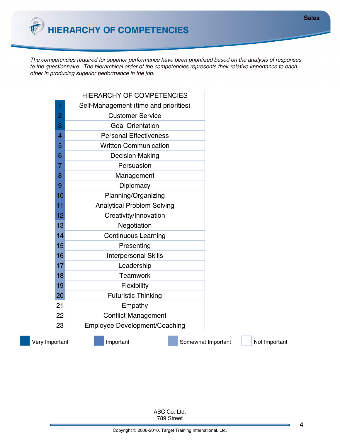*The competencies required for superior performance have been prioritized based on the analysis of responses to the questionnaire. The hierarchical order of the competencies represents their relative importance to each other in producing superior performance in the job.*

|    | <b>HIERARCHY OF COMPETENCIES</b>      |
|----|---------------------------------------|
| 1  | Self-Management (time and priorities) |
| 2  | <b>Customer Service</b>               |
| 3  | <b>Goal Orientation</b>               |
| 4  | <b>Personal Effectiveness</b>         |
| 5  | <b>Written Communication</b>          |
| 6  | <b>Decision Making</b>                |
| 7  | Persuasion                            |
| 8  | Management                            |
| 9  | Diplomacy                             |
| 10 | Planning/Organizing                   |
| 11 | <b>Analytical Problem Solving</b>     |
| 12 | Creativity/Innovation                 |
| 13 | Negotiation                           |
| 14 | <b>Continuous Learning</b>            |
| 15 | Presenting                            |
| 16 | <b>Interpersonal Skills</b>           |
| 17 | Leadership                            |
| 18 | <b>Teamwork</b>                       |
| 19 | Flexibility                           |
| 20 | <b>Futuristic Thinking</b>            |
| 21 | Empathy                               |
| 22 | <b>Conflict Management</b>            |
| 23 | <b>Employee Development/Coaching</b>  |
|    |                                       |

Very Important **Important** Important Somewhat Important Not Important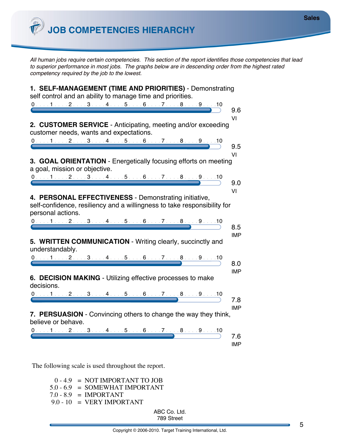**JOB COMPETENCIES HIERARCHY**

*All human jobs require certain competencies. This section of the report identifies those competencies that lead to superior performance in most jobs. The graphs below are in descending order from the highest rated competency required by the job to the lowest.*

| 1. SELF-MANAGEMENT (TIME AND PRIORITIES) - Demonstrating<br>self control and an ability to manage time and priorities. |            |
|------------------------------------------------------------------------------------------------------------------------|------------|
|                                                                                                                        |            |
|                                                                                                                        | 9.6        |
|                                                                                                                        | ۷ı         |
| 2. CUSTOMER SERVICE - Anticipating, meeting and/or exceeding<br>customer needs, wants and expectations.                |            |
|                                                                                                                        |            |
| $0.1.1.1.1.2.1.13.1.14.1.15.1.16.1.17.1.18.1.19.1.10$                                                                  | 9.5        |
|                                                                                                                        | VI         |
| 3. GOAL ORIENTATION - Energetically focusing efforts on meeting                                                        |            |
| a goal, mission or objective.                                                                                          |            |
| $012345678910$                                                                                                         | 9.0        |
|                                                                                                                        | ٧I         |
| 4. PERSONAL EFFECTIVENESS - Demonstrating initiative,                                                                  |            |
| self-confidence, resiliency and a willingness to take responsibility for                                               |            |
| personal actions.                                                                                                      |            |
| $0. \ldots 1 \ldots 2 \ldots 3 \ldots 4 \ldots 5 \ldots 6 \ldots 7 \ldots 8 \ldots 9 \ldots 10$                        |            |
|                                                                                                                        | 8.5        |
|                                                                                                                        | <b>IMP</b> |
| 5. WRITTEN COMMUNICATION - Writing clearly, succinctly and                                                             |            |
| understandably.                                                                                                        |            |
| $0.11.1.2.1.3.1.4.1.5.1.6.1.7.1.8.1.9.1.10$                                                                            | 8.0        |
|                                                                                                                        | <b>IMP</b> |
| 6. DECISION MAKING - Utilizing effective processes to make                                                             |            |
| decisions.                                                                                                             |            |
| 0. 1 2 3 4 5 6 7 8 9 10                                                                                                |            |
|                                                                                                                        | 7.8        |
|                                                                                                                        | <b>IMP</b> |
| 7. PERSUASION - Convincing others to change the way they think,<br>believe or behave.                                  |            |
| $0.1.1.1.1.2.1.13.1.14.1.15.1.16.1.17.1.18.1.19.1.10$                                                                  |            |
|                                                                                                                        | 7.6        |
|                                                                                                                        | <b>IMP</b> |
|                                                                                                                        |            |

The following scale is used throughout the report.

0 - 4.9 = NOT IMPORTANT TO JOB 5.0 - 6.9 = SOMEWHAT IMPORTANT  $7.0 - 8.9$  = IMPORTANT  $9.0 - 10 = VERY IMPORTANT$ 

789 Street ABC Co. Ltd.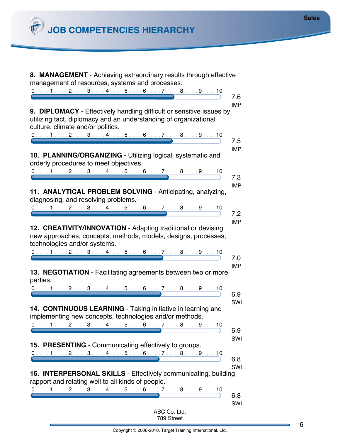*C* JOB COMPETENCIES HIERARCHY

| 8. MANAGEMENT - Achieving extraordinary results through effective<br>management of resources, systems and processes.                                                                                                   |  |  |              |  |                   |
|------------------------------------------------------------------------------------------------------------------------------------------------------------------------------------------------------------------------|--|--|--------------|--|-------------------|
| 0. 1. 2. 3. 4. 5. 6. 7. 8. 9. 9. 10                                                                                                                                                                                    |  |  |              |  |                   |
| 9. DIPLOMACY - Effectively handling difficult or sensitive issues by                                                                                                                                                   |  |  |              |  | 7.6<br><b>IMP</b> |
| utilizing tact, diplomacy and an understanding of organizational<br>culture, climate and/or politics.                                                                                                                  |  |  |              |  |                   |
| $0. \ldots 1 \ldots 2 \ldots 3 \ldots 4 \ldots 5 \ldots 6 \ldots 7 \ldots 8 \ldots 9 \ldots 10$                                                                                                                        |  |  |              |  | 7.5               |
| 10. PLANNING/ORGANIZING - Utilizing logical, systematic and<br>orderly procedures to meet objectives.<br>$0.112345678910$                                                                                              |  |  |              |  | <b>IMP</b><br>7.3 |
| 11. ANALYTICAL PROBLEM SOLVING - Anticipating, analyzing,<br>diagnosing, and resolving problems.<br>$0.1.1.1.1.2.1.13.1.14.1.15.1.16.1.17.1.18.1.19.1.10$                                                              |  |  |              |  | <b>IMP</b><br>7.2 |
| 12. CREATIVITY/INNOVATION - Adapting traditional or devising<br>new approaches, concepts, methods, models, designs, processes,<br>technologies and/or systems.                                                         |  |  |              |  | <b>IMP</b>        |
| $0.1.1.1.1.2.1.13.1.1.4.1.15.1.16.1.17.1.18.1.19.1.10$                                                                                                                                                                 |  |  |              |  | 7.0               |
| 13. NEGOTIATION - Facilitating agreements between two or more<br>parties.                                                                                                                                              |  |  |              |  | <b>IMP</b>        |
| $0. \ldots 1 \ldots 2 \ldots 3 \ldots 4 \ldots 5 \ldots 6 \ldots 7 \ldots 8 \ldots 9 \ldots 10$                                                                                                                        |  |  |              |  | 6.9               |
|                                                                                                                                                                                                                        |  |  |              |  | SWI               |
| 14. CONTINUOUS LEARNING - Taking initiative in learning and<br>implementing new concepts, technologies and/or methods.                                                                                                 |  |  |              |  |                   |
| $0. \ldots 1 \ldots 2 \ldots 3 \ldots 4 \ldots 5 \ldots 6 \ldots 7 \ldots 8 \ldots 9 \ldots 10$                                                                                                                        |  |  |              |  | 6.9               |
| 15. PRESENTING - Communicating effectively to groups.                                                                                                                                                                  |  |  |              |  | SWI               |
| $012345678910$                                                                                                                                                                                                         |  |  |              |  | 6.8               |
| 16. INTERPERSONAL SKILLS - Effectively communicating, building<br>rapport and relating well to all kinds of people.<br>$0. \ldots 1 \ldots 2 \ldots 3 \ldots 4 \ldots 5 \ldots 6 \ldots 7 \ldots 8 \ldots 9 \ldots 10$ |  |  |              |  | SWI               |
|                                                                                                                                                                                                                        |  |  | ABC Co. Ltd. |  | 6.8<br>SWI        |
|                                                                                                                                                                                                                        |  |  | 789 Street   |  |                   |

6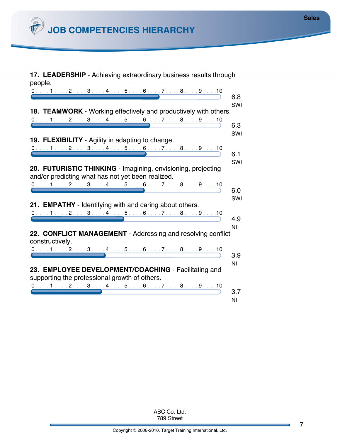**17. LEADERSHIP** - Achieving extraordinary business results through people.

| $0.11.1.1.1.2.1.1.3.1.1.4.1.1.5.1.1.6.1.1.7.1.1.8.1.1.9.1.10$                                                     | 6.8       |
|-------------------------------------------------------------------------------------------------------------------|-----------|
| 18. TEAMWORK - Working effectively and productively with others.                                                  | SWI       |
| 0. 1 2 3 4 5 6 7 8 9 10                                                                                           | 6.3       |
| <b>19. FLEXIBILITY</b> - Agility in adapting to change.                                                           | SWI       |
| 0. 1 2 3 4 5 6 7 8 9 10                                                                                           | 6.1       |
| 20. FUTURISTIC THINKING - Imagining, envisioning, projecting<br>and/or predicting what has not yet been realized. | SWI       |
| $0. \ldots 1 \ldots 2 \ldots 3 \ldots 4 \ldots 5 \ldots 6 \ldots 7 \ldots 8 \ldots 9 \ldots 10$                   | 6.0       |
| 21. EMPATHY - Identifying with and caring about others.                                                           | SWI       |
| 0. 1 2 3 4 5 6 7 8 9 10                                                                                           |           |
|                                                                                                                   | 4.9<br>ΝI |
| 22. CONFLICT MANAGEMENT - Addressing and resolving conflict<br>constructively.                                    |           |
| 0. 1 2 3 4 5 6 7 8 9 10                                                                                           | 3.9       |
| 23. EMPLOYEE DEVELOPMENT/COACHING - Facilitating and<br>supporting the professional growth of others.             | ΝI        |
| $0.1.1.1.1.2.1.13.1.14.1.15.1.16.1.17.1.18.1.19.1.110$                                                            | 3.7       |
|                                                                                                                   | ΝI        |

789 Street ABC Co. Ltd.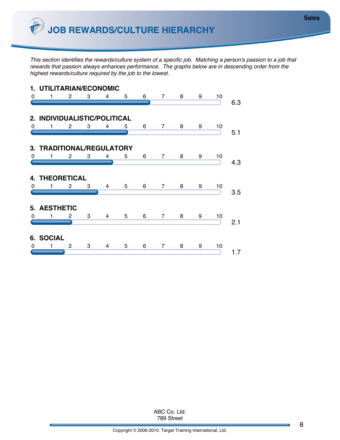*This section identifies the rewards/culture system of a specific job. Matching a person's passion to a job that rewards that passion always enhances performance. The graphs below are in descending order from the highest rewards/culture required by the job to the lowest.*

| 1. UTILITARIAN/ECONOMIC                                                                                    |     |
|------------------------------------------------------------------------------------------------------------|-----|
| $0.11.1.2.1.3.1.4.1.5.1.6.1.7.1.8.1.9.1.10$                                                                | 6.3 |
|                                                                                                            |     |
| 2. INDIVIDUALISTIC/POLITICAL                                                                               |     |
| $\overbrace{0 \ldots 1 \ldots 2 \ldots 3 \ldots 4 \ldots 5 \ldots 6 \ldots 7 \ldots 8 \ldots 9 \ldots 10}$ |     |
|                                                                                                            | 5.1 |
|                                                                                                            |     |
| 3. TRADITIONAL/REGULATORY                                                                                  |     |
| $\overbrace{0 \ldots 1 \ldots 2 \ldots 3 \ldots 4 \ldots 5 \ldots 6 \ldots 7 \ldots 8 \ldots 9 \ldots 10}$ | 4.3 |
|                                                                                                            |     |
| <b>4. THEORETICAL</b>                                                                                      |     |
|                                                                                                            |     |
| $\overbrace{0\ldots 1\ldots 2\ldots 3\ldots 4\ldots 5\ldots 6\ldots 7\ldots 8\ldots 9\ldots 10}$           | 35  |
|                                                                                                            |     |
| 5. AESTHETIC                                                                                               |     |
| $\overbrace{0 \ldots 1 \ldots 2 \ldots 3 \ldots 4 \ldots 5 \ldots 6 \ldots 7 \ldots 8 \ldots 9 \ldots 10}$ |     |
|                                                                                                            | 2.1 |
|                                                                                                            |     |
| 6. SOCIAL                                                                                                  |     |
| $0.1.1.1.1.2.1.1.3.1.1.4.1.1.5.1.1.6.1.1.7.1.1.8.1.1.9.1.10$                                               |     |
|                                                                                                            |     |

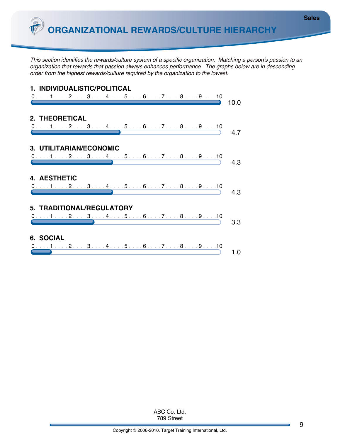*This section identifies the rewards/culture system of a specific organization. Matching a person's passion to an organization that rewards that passion always enhances performance. The graphs below are in descending order from the highest rewards/culture required by the organization to the lowest.*

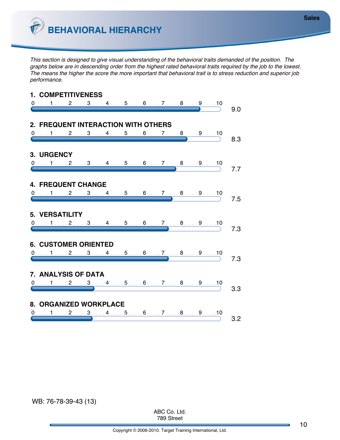

*This section is designed to give visual understanding of the behavioral traits demanded of the position. The graphs below are in descending order from the highest rated behavioral traits required by the job to the lowest. The means the higher the score the more important that behavioral trait is to stress reduction and superior job performance.*



789 Street ABC Co. Ltd. **Sales**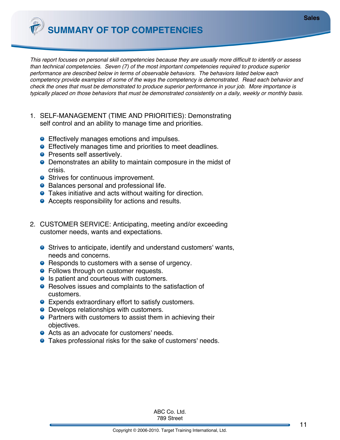**SUMMARY OF TOP COMPETENCIES**

*This report focuses on personal skill competencies because they are usually more difficult to identify or assess than technical competencies. Seven (7) of the most important competencies required to produce superior performance are described below in terms of observable behaviors. The behaviors listed below each competency provide examples of some of the ways the competency is demonstrated. Read each behavior and check the ones that must be demonstrated to produce superior performance in your job. More importance is typically placed on those behaviors that must be demonstrated consistently on a daily, weekly or monthly basis.*

- 1. SELF-MANAGEMENT (TIME AND PRIORITIES): Demonstrating self control and an ability to manage time and priorities.
	- **Effectively manages emotions and impulses.**
	- **Effectively manages time and priorities to meet deadlines.**
	- **•** Presents self assertively.
	- Demonstrates an ability to maintain composure in the midst of crisis.
	- Strives for continuous improvement.
	- Balances personal and professional life.
	- **•** Takes initiative and acts without waiting for direction.
	- **•** Accepts responsibility for actions and results.
- 2. CUSTOMER SERVICE: Anticipating, meeting and/or exceeding customer needs, wants and expectations.
	- Strives to anticipate, identify and understand customers' wants, needs and concerns.
	- Responds to customers with a sense of urgency.
	- **•** Follows through on customer requests.
	- Is patient and courteous with customers.
	- Resolves issues and complaints to the satisfaction of customers.
	- Expends extraordinary effort to satisfy customers.
	- **O** Develops relationships with customers.
	- **•** Partners with customers to assist them in achieving their objectives.
	- Acts as an advocate for customers' needs.
	- Takes professional risks for the sake of customers' needs.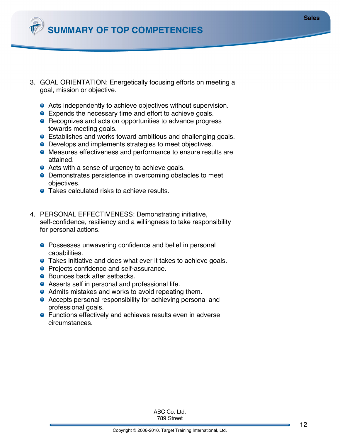

- 3. GOAL ORIENTATION: Energetically focusing efforts on meeting a goal, mission or objective.
	- Acts independently to achieve objectives without supervision.
	- **Expends the necessary time and effort to achieve goals.**
	- Recognizes and acts on opportunities to advance progress towards meeting goals.
	- **Establishes and works toward ambitious and challenging goals.**
	- Develops and implements strategies to meet objectives.
	- Measures effectiveness and performance to ensure results are attained.
	- Acts with a sense of urgency to achieve goals.
	- **O** Demonstrates persistence in overcoming obstacles to meet objectives.
	- Takes calculated risks to achieve results.
- 4. PERSONAL EFFECTIVENESS: Demonstrating initiative, self-confidence, resiliency and a willingness to take responsibility for personal actions.
	- **•** Possesses unwavering confidence and belief in personal capabilities.
	- **.** Takes initiative and does what ever it takes to achieve goals.
	- **•** Projects confidence and self-assurance.
	- Bounces back after setbacks.
	- Asserts self in personal and professional life.
	- Admits mistakes and works to avoid repeating them.
	- Accepts personal responsibility for achieving personal and professional goals.
	- Functions effectively and achieves results even in adverse circumstances.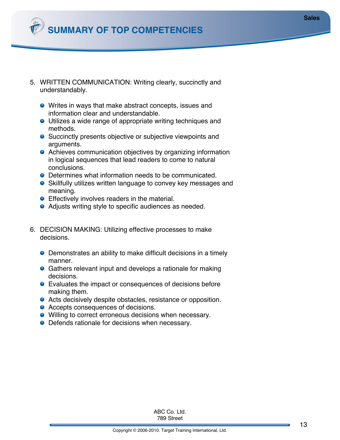

- 5. WRITTEN COMMUNICATION: Writing clearly, succinctly and understandably.
	- Writes in ways that make abstract concepts, issues and information clear and understandable.
	- Utilizes a wide range of appropriate writing techniques and methods.
	- Succinctly presents objective or subjective viewpoints and arguments.
	- Achieves communication objectives by organizing information in logical sequences that lead readers to come to natural conclusions.
	- Determines what information needs to be communicated.
	- Skillfully utilizes written language to convey key messages and meaning.
	- **Effectively involves readers in the material.**
	- Adjusts writing style to specific audiences as needed.
- 6. DECISION MAKING: Utilizing effective processes to make decisions.
	- Demonstrates an ability to make difficult decisions in a timely manner.
	- Gathers relevant input and develops a rationale for making decisions.
	- Evaluates the impact or consequences of decisions before making them.
	- Acts decisively despite obstacles, resistance or opposition.
	- Accepts consequences of decisions.
	- Willing to correct erroneous decisions when necessary.
	- Defends rationale for decisions when necessary.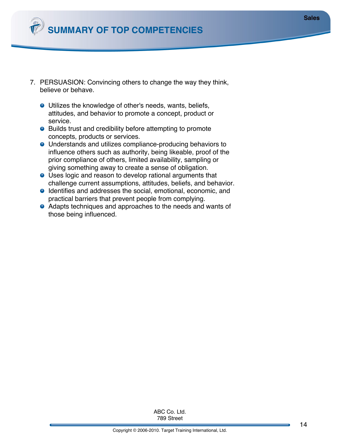

- 7. PERSUASION: Convincing others to change the way they think, believe or behave.
	- Utilizes the knowledge of other's needs, wants, beliefs, attitudes, and behavior to promote a concept, product or service.
	- Builds trust and credibility before attempting to promote concepts, products or services.
	- Understands and utilizes compliance-producing behaviors to influence others such as authority, being likeable, proof of the prior compliance of others, limited availability, sampling or giving something away to create a sense of obligation.
	- Uses logic and reason to develop rational arguments that challenge current assumptions, attitudes, beliefs, and behavior.
	- **O** Identifies and addresses the social, emotional, economic, and practical barriers that prevent people from complying.
	- Adapts techniques and approaches to the needs and wants of those being influenced.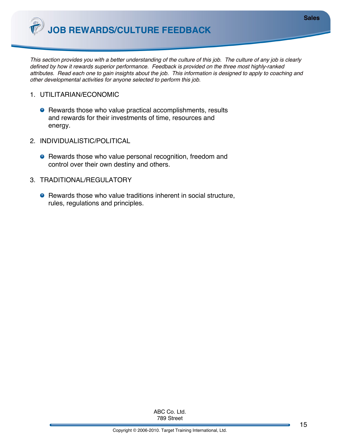**JOB REWARDS/CULTURE FEEDBACK**

*This section provides you with a better understanding of the culture of this job. The culture of any job is clearly defined by how it rewards superior performance. Feedback is provided on the three most highly-ranked attributes. Read each one to gain insights about the job. This information is designed to apply to coaching and other developmental activities for anyone selected to perform this job.*

- 1. UTILITARIAN/ECONOMIC
	- Rewards those who value practical accomplishments, results and rewards for their investments of time, resources and energy.
- 2. INDIVIDUALISTIC/POLITICAL
	- **•** Rewards those who value personal recognition, freedom and control over their own destiny and others.
- 3. TRADITIONAL/REGULATORY
	- Rewards those who value traditions inherent in social structure, rules, regulations and principles.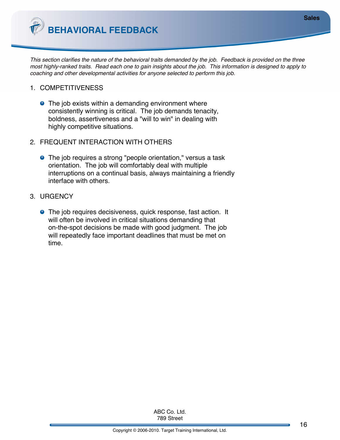**BEHAVIORAL FEEDBACK**

*This section clarifies the nature of the behavioral traits demanded by the job. Feedback is provided on the three most highly-ranked traits. Read each one to gain insights about the job. This information is designed to apply to coaching and other developmental activities for anyone selected to perform this job.*

- 1. COMPETITIVENESS
	- The job exists within a demanding environment where consistently winning is critical. The job demands tenacity, boldness, assertiveness and a "will to win" in dealing with highly competitive situations.
- 2. FREQUENT INTERACTION WITH OTHERS
	- The job requires a strong "people orientation," versus a task orientation. The job will comfortably deal with multiple interruptions on a continual basis, always maintaining a friendly interface with others.
- 3. URGENCY
	- **.** The job requires decisiveness, quick response, fast action. It will often be involved in critical situations demanding that on-the-spot decisions be made with good judgment. The job will repeatedly face important deadlines that must be met on time.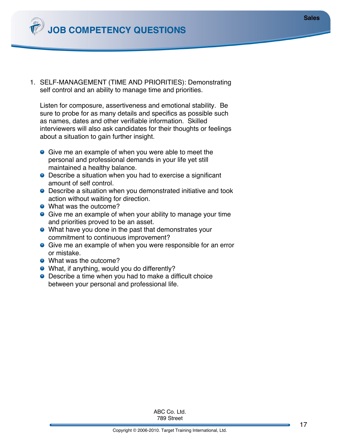**JOB COMPETENCY QUESTIONS**

1. SELF-MANAGEMENT (TIME AND PRIORITIES): Demonstrating self control and an ability to manage time and priorities.

Listen for composure, assertiveness and emotional stability. Be sure to probe for as many details and specifics as possible such as names, dates and other verifiable information. Skilled interviewers will also ask candidates for their thoughts or feelings about a situation to gain further insight.

- **Give me an example of when you were able to meet the** personal and professional demands in your life yet still maintained a healthy balance.
- Describe a situation when you had to exercise a significant amount of self control.
- Describe a situation when you demonstrated initiative and took action without waiting for direction.
- What was the outcome?
- **•** Give me an example of when your ability to manage your time and priorities proved to be an asset.
- What have you done in the past that demonstrates your commitment to continuous improvement?
- **.** Give me an example of when you were responsible for an error or mistake.
- What was the outcome?
- What, if anything, would you do differently?
- Describe a time when you had to make a difficult choice between your personal and professional life.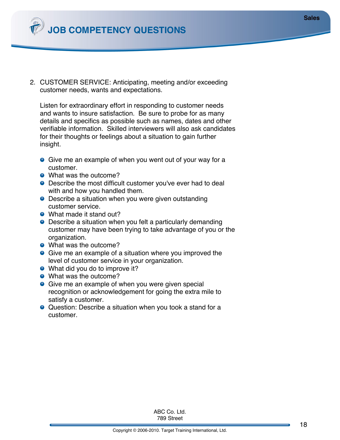**JOB COMPETENCY QUESTIONS**

2. CUSTOMER SERVICE: Anticipating, meeting and/or exceeding customer needs, wants and expectations.

Listen for extraordinary effort in responding to customer needs and wants to insure satisfaction. Be sure to probe for as many details and specifics as possible such as names, dates and other verifiable information. Skilled interviewers will also ask candidates for their thoughts or feelings about a situation to gain further insight.

- **Give me an example of when you went out of your way for a** customer.
- What was the outcome?
- **•** Describe the most difficult customer you've ever had to deal with and how you handled them.
- Describe a situation when you were given outstanding customer service.
- What made it stand out?
- Describe a situation when you felt a particularly demanding customer may have been trying to take advantage of you or the organization.
- What was the outcome?
- **Give me an example of a situation where you improved the** level of customer service in your organization.
- What did you do to improve it?
- What was the outcome?
- **Give me an example of when you were given special** recognition or acknowledgement for going the extra mile to satisfy a customer.
- Question: Describe a situation when you took a stand for a customer.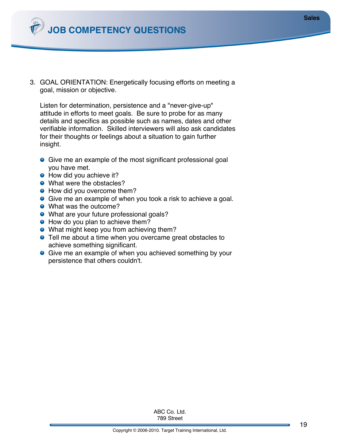3. GOAL ORIENTATION: Energetically focusing efforts on meeting a goal, mission or objective.

Listen for determination, persistence and a "never-give-up" attitude in efforts to meet goals. Be sure to probe for as many details and specifics as possible such as names, dates and other verifiable information. Skilled interviewers will also ask candidates for their thoughts or feelings about a situation to gain further insight.

- **•** Give me an example of the most significant professional goal you have met.
- How did you achieve it?
- What were the obstacles?
- How did you overcome them?
- **Give me an example of when you took a risk to achieve a goal.**
- What was the outcome?
- What are your future professional goals?
- How do you plan to achieve them?
- What might keep you from achieving them?
- **•** Tell me about a time when you overcame great obstacles to achieve something significant.
- **.** Give me an example of when you achieved something by your persistence that others couldn't.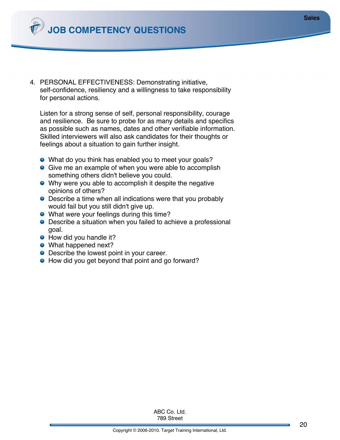**JOB COMPETENCY QUESTIONS**

4. PERSONAL EFFECTIVENESS: Demonstrating initiative, self-confidence, resiliency and a willingness to take responsibility for personal actions.

Listen for a strong sense of self, personal responsibility, courage and resilience. Be sure to probe for as many details and specifics as possible such as names, dates and other verifiable information. Skilled interviewers will also ask candidates for their thoughts or feelings about a situation to gain further insight.

- What do you think has enabled you to meet your goals?
- **Give me an example of when you were able to accomplish** something others didn't believe you could.
- Why were you able to accomplish it despite the negative opinions of others?
- Describe a time when all indications were that you probably would fail but you still didn't give up.
- What were your feelings during this time?
- Describe a situation when you failed to achieve a professional goal.
- How did you handle it?
- What happened next?
- Describe the lowest point in your career.
- How did you get beyond that point and go forward?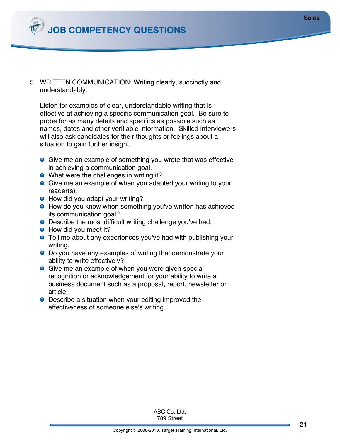

5. WRITTEN COMMUNICATION: Writing clearly, succinctly and understandably.

Listen for examples of clear, understandable writing that is effective at achieving a specific communication goal. Be sure to probe for as many details and specifics as possible such as names, dates and other verifiable information. Skilled interviewers will also ask candidates for their thoughts or feelings about a situation to gain further insight.

- **.** Give me an example of something you wrote that was effective in achieving a communication goal.
- What were the challenges in writing it?
- **•** Give me an example of when you adapted your writing to your reader(s).
- How did you adapt your writing?
- **•** How do you know when something you've written has achieved its communication goal?
- **•** Describe the most difficult writing challenge you've had.
- How did you meet it?
- **•** Tell me about any experiences you've had with publishing your writing.
- Do you have any examples of writing that demonstrate your ability to write effectively?
- **Give me an example of when you were given special** recognition or acknowledgement for your ability to write a business document such as a proposal, report, newsletter or article.
- **•** Describe a situation when your editing improved the effectiveness of someone else's writing.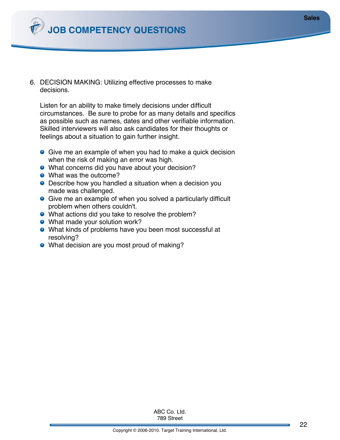

6. DECISION MAKING: Utilizing effective processes to make decisions.

Listen for an ability to make timely decisions under difficult circumstances. Be sure to probe for as many details and specifics as possible such as names, dates and other verifiable information. Skilled interviewers will also ask candidates for their thoughts or feelings about a situation to gain further insight.

- **•** Give me an example of when you had to make a quick decision when the risk of making an error was high.
- What concerns did you have about your decision?
- What was the outcome?
- Describe how you handled a situation when a decision you made was challenged.
- Give me an example of when you solved a particularly difficult problem when others couldn't.
- What actions did you take to resolve the problem?
- What made your solution work?
- What kinds of problems have you been most successful at resolving?
- What decision are you most proud of making?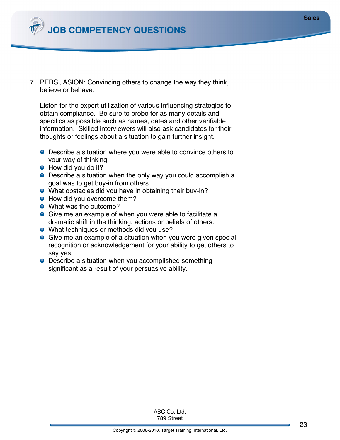7. PERSUASION: Convincing others to change the way they think, believe or behave.

Listen for the expert utilization of various influencing strategies to obtain compliance. Be sure to probe for as many details and specifics as possible such as names, dates and other verifiable information. Skilled interviewers will also ask candidates for their thoughts or feelings about a situation to gain further insight.

- Describe a situation where you were able to convince others to your way of thinking.
- How did you do it?
- Describe a situation when the only way you could accomplish a goal was to get buy-in from others.
- What obstacles did you have in obtaining their buy-in?
- **•** How did you overcome them?
- What was the outcome?
- **Give me an example of when you were able to facilitate a** dramatic shift in the thinking, actions or beliefs of others.
- What techniques or methods did you use?
- **Give me an example of a situation when you were given special** recognition or acknowledgement for your ability to get others to say yes.
- Describe a situation when you accomplished something significant as a result of your persuasive ability.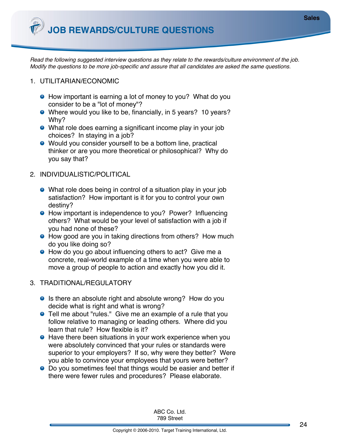*Read the following suggested interview questions as they relate to the rewards/culture environment of the job. Modify the questions to be more job-specific and assure that all candidates are asked the same questions.*

- 1. UTILITARIAN/ECONOMIC
	- How important is earning a lot of money to you? What do you consider to be a "lot of money"?
	- Where would you like to be, financially, in 5 years? 10 years? Why?
	- What role does earning a significant income play in your job choices? In staying in a job?
	- Would you consider yourself to be a bottom line, practical thinker or are you more theoretical or philosophical? Why do you say that?
- 2. INDIVIDUALISTIC/POLITICAL
	- What role does being in control of a situation play in your job satisfaction? How important is it for you to control your own destiny?
	- How important is independence to you? Power? Influencing others? What would be your level of satisfaction with a job if you had none of these?
	- How good are you in taking directions from others? How much do you like doing so?
	- How do you go about influencing others to act? Give me a concrete, real-world example of a time when you were able to move a group of people to action and exactly how you did it.
- 3. TRADITIONAL/REGULATORY
	- Is there an absolute right and absolute wrong? How do you decide what is right and what is wrong?
	- Tell me about "rules." Give me an example of a rule that you follow relative to managing or leading others. Where did you learn that rule? How flexible is it?
	- Have there been situations in your work experience when you were absolutely convinced that your rules or standards were superior to your employers? If so, why were they better? Were you able to convince your employees that yours were better?
	- Do you sometimes feel that things would be easier and better if there were fewer rules and procedures? Please elaborate.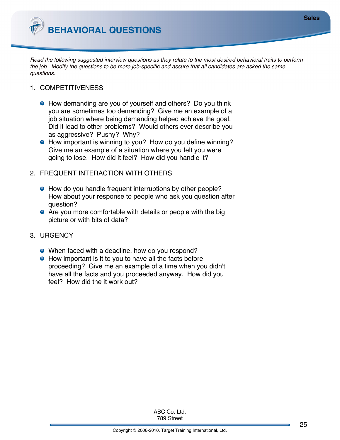**BEHAVIORAL QUESTIONS**

*Read the following suggested interview questions as they relate to the most desired behavioral traits to perform the job. Modify the questions to be more job-specific and assure that all candidates are asked the same questions.*

- 1. COMPETITIVENESS
	- How demanding are you of yourself and others? Do you think you are sometimes too demanding? Give me an example of a job situation where being demanding helped achieve the goal. Did it lead to other problems? Would others ever describe you as aggressive? Pushy? Why?
	- How important is winning to you? How do you define winning? Give me an example of a situation where you felt you were going to lose. How did it feel? How did you handle it?
- 2. FREQUENT INTERACTION WITH OTHERS
	- How do you handle frequent interruptions by other people? How about your response to people who ask you question after question?
	- **•** Are you more comfortable with details or people with the big picture or with bits of data?
- 3. URGENCY
	- When faced with a deadline, how do you respond?
	- How important is it to you to have all the facts before proceeding? Give me an example of a time when you didn't have all the facts and you proceeded anyway. How did you feel? How did the it work out?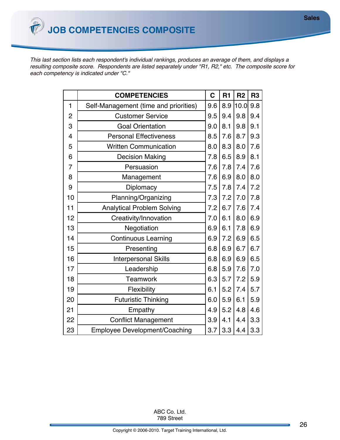*This last section lists each respondent's individual rankings, produces an average of them, and displays a resulting composite score. Respondents are listed separately under "R1, R2," etc. The composite score for each competency is indicated under "C."*

|                | <b>COMPETENCIES</b>                   | $\mathbf C$ | R1  | R <sub>2</sub> | R <sub>3</sub> |
|----------------|---------------------------------------|-------------|-----|----------------|----------------|
| 1              | Self-Management (time and priorities) | 9.6         | 8.9 | 10.0           | 9.8            |
| $\overline{2}$ | <b>Customer Service</b>               | 9.5         | 9.4 | 9.8            | 9.4            |
| 3              | <b>Goal Orientation</b>               | 9.0         | 8.1 | 9.8            | 9.1            |
| 4              | <b>Personal Effectiveness</b>         | 8.5         | 7.6 | 8.7            | 9.3            |
| 5              | <b>Written Communication</b>          | 8.0         | 8.3 | 8.0            | 7.6            |
| 6              | <b>Decision Making</b>                | 7.8         | 6.5 | 8.9            | 8.1            |
| $\overline{7}$ | Persuasion                            | 7.6         | 7.8 | 7.4            | 7.6            |
| 8              | Management                            | 7.6         | 6.9 | 8.0            | 8.0            |
| 9              | Diplomacy                             | 7.5         | 7.8 | 7.4            | 7.2            |
| 10             | Planning/Organizing                   | 7.3         | 7.2 | 7.0            | 7.8            |
| 11             | <b>Analytical Problem Solving</b>     | 7.2         | 6.7 | 7.6            | 7.4            |
| 12             | Creativity/Innovation                 | 7.0         | 6.1 | 8.0            | 6.9            |
| 13             | Negotiation                           | 6.9         | 6.1 | 7.8            | 6.9            |
| 14             | <b>Continuous Learning</b>            | 6.9         | 7.2 | 6.9            | 6.5            |
| 15             | Presenting                            | 6.8         | 6.9 | 6.7            | 6.7            |
| 16             | <b>Interpersonal Skills</b>           | 6.8         | 6.9 | 6.9            | 6.5            |
| 17             | Leadership                            | 6.8         | 5.9 | 7.6            | 7.0            |
| 18             | Teamwork                              | 6.3         | 5.7 | 7.2            | 5.9            |
| 19             | Flexibility                           | 6.1         | 5.2 | 7.4            | 5.7            |
| 20             | <b>Futuristic Thinking</b>            | 6.0         | 5.9 | 6.1            | 5.9            |
| 21             | Empathy                               | 4.9         | 5.2 | 4.8            | 4.6            |
| 22             | <b>Conflict Management</b>            | 3.9         | 4.1 | 4.4            | 3.3            |
| 23             | <b>Employee Development/Coaching</b>  | 3.7         | 3.3 | 4.4            | 3.3            |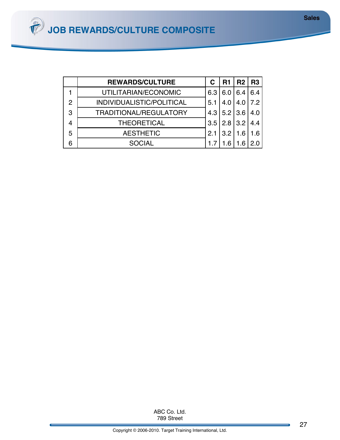|   | <b>REWARDS/CULTURE</b>        |     | R1            | R2  | l R3 |
|---|-------------------------------|-----|---------------|-----|------|
|   | UTILITARIAN/ECONOMIC          | 6.3 | 6.0           | 6.4 | 6.4  |
| 2 | INDIVIDUALISTIC/POLITICAL     | 5.1 | 4.0           | 4.0 | 7.2  |
| 3 | <b>TRADITIONAL/REGULATORY</b> |     | $4.3$ 5.2 3.6 |     | 4.0  |
|   | <b>THEORETICAL</b>            | 3.5 | 2.8 3.2       |     | 4.4  |
| 5 | <b>AESTHETIC</b>              | 2.1 | $3.2$   1.6   |     | 1.6  |
|   | <b>SOCIAL</b>                 |     |               |     |      |

789 Street ABC Co. Ltd.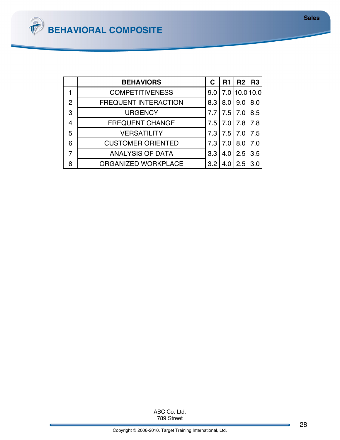|   | <b>BEHAVIORS</b>            | С     | R1   | R2            | <b>R3</b> |
|---|-----------------------------|-------|------|---------------|-----------|
|   | <b>COMPETITIVENESS</b>      | 9.0   |      | 7.0 10.0 10.0 |           |
| 2 | <b>FREQUENT INTERACTION</b> | 8.3   | 8.0  | 9.0           | 8.0       |
| 3 | <b>URGENCY</b>              |       | 7.5  | 7.0           | 8.5       |
| 4 | <b>FREQUENT CHANGE</b>      | 7.5 l | 7.0  | 7.8           | 7.8       |
| 5 | <b>VERSATILITY</b>          | 7.3   | 7.51 | 7.0           | 75        |
| 6 | <b>CUSTOMER ORIENTED</b>    | 7.3   | 7.0  | 8.0           | 7.0       |
| 7 | <b>ANALYSIS OF DATA</b>     | 3.3   | 4.0  | 2.5           | 35        |
| 8 | ORGANIZED WORKPLACE         | 3.2   | 4.0  | 2.5           |           |

789 Street ABC Co. Ltd.